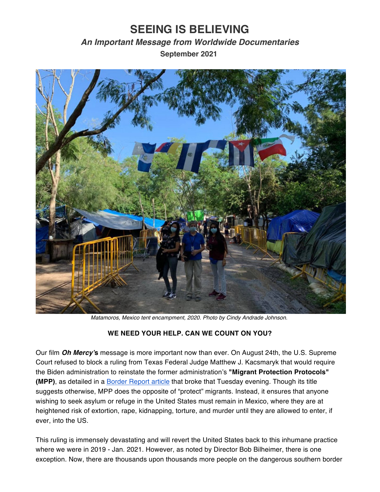## **SEEING IS BELIEVING**

## *An Important Message from Worldwide Documentaries* **September 2021**



*Matamoros, Mexico tent encampment, 2020. Photo by Cindy Andrade Johnson.*

## **WE NEED YOUR HELP. CAN WE COUNT ON YOU?**

Our film *Oh Mercy'***s** message is more important now than ever. On August 24th, the U.S. Supreme Court refused to block a ruling from Texas Federal Judge Matthew J. Kacsmaryk that would require the Biden administration to reinstate the former administration's **"Migrant Protection Protocols" (MPP)**, as detailed in a Border [Report](https://www.borderreport.com/hot-topics/border-crime/supreme-court-orders-remain-in-mexico-policy-reinstated/?utm_source=facebook.com&utm_campaign=socialflow&utm_medium=referral) article that broke that Tuesday evening. Though its title suggests otherwise, MPP does the opposite of "protect" migrants. Instead, it ensures that anyone wishing to seek asylum or refuge in the United States must remain in Mexico, where they are at heightened risk of extortion, rape, kidnapping, torture, and murder until they are allowed to enter, if ever, into the US.

This ruling is immensely devastating and will revert the United States back to this inhumane practice where we were in 2019 - Jan. 2021. However, as noted by Director Bob Bilheimer, there is one exception. Now, there are thousands upon thousands more people on the dangerous southern border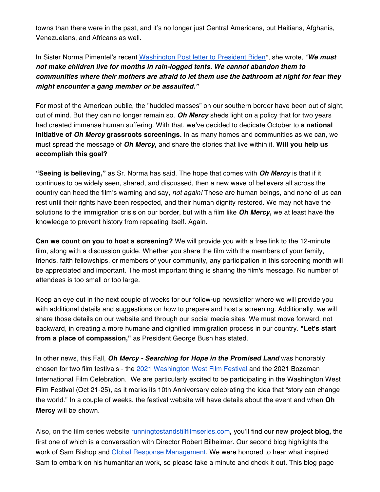towns than there were in the past, and it's no longer just Central Americans, but Haitians, Afghanis, Venezuelans, and Africans as well.

In Sister Norma Pimentel's recent [Washington](https://www.washingtonpost.com/opinions/2021/09/06/norma-pimentel-mpp-biden-help-migrants/) Post letter to President Biden\*, she wrote, *"We must not make children live for months in rain-logged tents. We cannot abandon them to communities where their mothers are afraid to let them use the bathroom at night for fear they might encounter a gang member or be assaulted."*

For most of the American public, the "huddled masses" on our southern border have been out of sight, out of mind. But they can no longer remain so. *Oh Mercy* sheds light on a policy that for two years had created immense human suffering. With that, we've decided to dedicate October to **a national initiative of** *Oh Mercy* **grassroots screenings.** In as many homes and communities as we can, we must spread the message of *Oh Mercy***,** and share the stories that live within it. **Will you help us accomplish this goal?**

**"Seeing is believing,"** as Sr. Norma has said. The hope that comes with *Oh Mercy* is that if it continues to be widely seen, shared, and discussed, then a new wave of believers all across the country can heed the film's warning and say, *not again!* These are human beings, and none of us can rest until their rights have been respected, and their human dignity restored. We may not have the solutions to the immigration crisis on our border, but with a film like *Oh Mercy***,** we at least have the knowledge to prevent history from repeating itself. Again.

**Can we count on you to host a screening?** We will provide you with a free link to the 12-minute film, along with a discussion guide. Whether you share the film with the members of your family, friends, faith fellowships, or members of your community, any participation in this screening month will be appreciated and important. The most important thing is sharing the film's message. No number of attendees is too small or too large.

Keep an eye out in the next couple of weeks for our follow-up newsletter where we will provide you with additional details and suggestions on how to prepare and host a screening. Additionally, we will share those details on our website and through our social media sites. We must move forward, not backward, in creating a more humane and dignified immigration process in our country. **"Let's start from a place of compassion,"** as President George Bush has stated.

In other news, this Fall, *Oh Mercy - Searching for Hope in the Promised Land* was honorably chosen for two film festivals - the 2021 [Washington](https://wwfilmfest.com) West Film Festival and the 2021 Bozeman International Film Celebration. We are particularly excited to be participating in the Washington West Film Festival (Oct 21-25), as it marks its 10th Anniversary celebrating the idea that "story can change the world." In a couple of weeks, the festival website will have details about the event and when **Oh Mercy** will be shown.

Also, on the film series website [runningtostandstillfilmseries.com](https://www.runningtostandstillfilmseries.com/projects-3)**,** you'll find our new **project blog,** the first one of which is a conversation with Director Robert Bilheimer. Our second blog highlights the work of Sam Bishop and Global Response [Management.](https://www.global-response.org) We were honored to hear what inspired Sam to embark on his humanitarian work, so please take a minute and check it out. This blog page